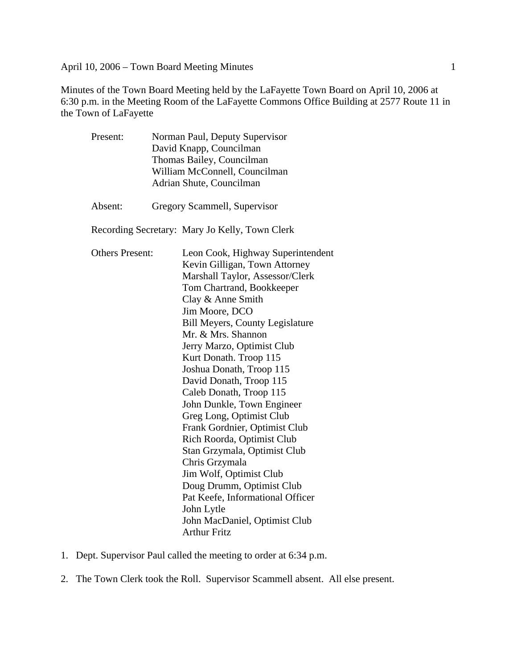Minutes of the Town Board Meeting held by the LaFayette Town Board on April 10, 2006 at 6:30 p.m. in the Meeting Room of the LaFayette Commons Office Building at 2577 Route 11 in the Town of LaFayette

| Present:               | Norman Paul, Deputy Supervisor<br>David Knapp, Councilman<br>Thomas Bailey, Councilman<br>William McConnell, Councilman |                                                |  |
|------------------------|-------------------------------------------------------------------------------------------------------------------------|------------------------------------------------|--|
|                        |                                                                                                                         |                                                |  |
|                        |                                                                                                                         |                                                |  |
|                        |                                                                                                                         |                                                |  |
|                        |                                                                                                                         | Adrian Shute, Councilman                       |  |
| Absent:                |                                                                                                                         | Gregory Scammell, Supervisor                   |  |
|                        |                                                                                                                         | Recording Secretary: Mary Jo Kelly, Town Clerk |  |
| <b>Others Present:</b> |                                                                                                                         | Leon Cook, Highway Superintendent              |  |
|                        |                                                                                                                         | Kevin Gilligan, Town Attorney                  |  |
|                        |                                                                                                                         | Marshall Taylor, Assessor/Clerk                |  |
|                        |                                                                                                                         | Tom Chartrand, Bookkeeper                      |  |
|                        |                                                                                                                         | Clay & Anne Smith                              |  |
|                        |                                                                                                                         | Jim Moore, DCO                                 |  |
|                        |                                                                                                                         | <b>Bill Meyers, County Legislature</b>         |  |
|                        |                                                                                                                         | Mr. & Mrs. Shannon                             |  |
|                        |                                                                                                                         | Jerry Marzo, Optimist Club                     |  |
|                        |                                                                                                                         | Kurt Donath. Troop 115                         |  |
|                        |                                                                                                                         | Joshua Donath, Troop 115                       |  |
|                        |                                                                                                                         | David Donath, Troop 115                        |  |
|                        |                                                                                                                         | Caleb Donath, Troop 115                        |  |
|                        |                                                                                                                         | John Dunkle, Town Engineer                     |  |
|                        |                                                                                                                         | Greg Long, Optimist Club                       |  |
|                        |                                                                                                                         | Frank Gordnier, Optimist Club                  |  |
|                        |                                                                                                                         | Rich Roorda, Optimist Club                     |  |
|                        |                                                                                                                         | Stan Grzymala, Optimist Club                   |  |
|                        |                                                                                                                         | Chris Grzymala                                 |  |
|                        |                                                                                                                         | Jim Wolf, Optimist Club                        |  |
|                        |                                                                                                                         | Doug Drumm, Optimist Club                      |  |
|                        |                                                                                                                         | Pat Keefe, Informational Officer               |  |
|                        |                                                                                                                         | John Lytle                                     |  |
|                        |                                                                                                                         | John MacDaniel, Optimist Club                  |  |
|                        |                                                                                                                         | <b>Arthur Fritz</b>                            |  |

- 1. Dept. Supervisor Paul called the meeting to order at 6:34 p.m.
- 2. The Town Clerk took the Roll. Supervisor Scammell absent. All else present.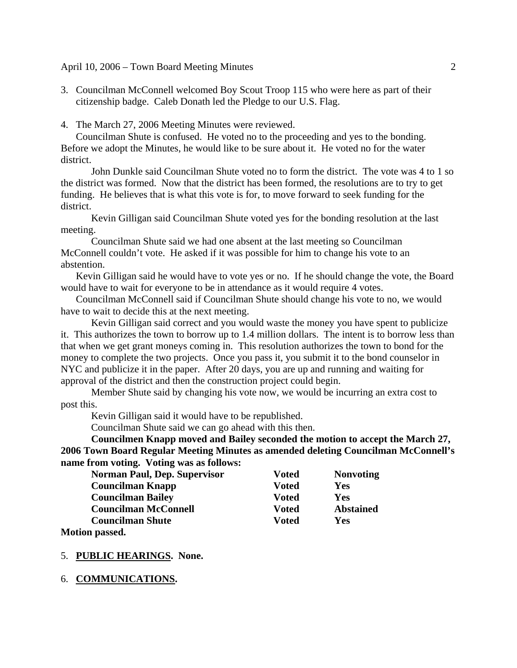3. Councilman McConnell welcomed Boy Scout Troop 115 who were here as part of their citizenship badge. Caleb Donath led the Pledge to our U.S. Flag.

4. The March 27, 2006 Meeting Minutes were reviewed.

Councilman Shute is confused. He voted no to the proceeding and yes to the bonding. Before we adopt the Minutes, he would like to be sure about it. He voted no for the water district.

John Dunkle said Councilman Shute voted no to form the district. The vote was 4 to 1 so the district was formed. Now that the district has been formed, the resolutions are to try to get funding. He believes that is what this vote is for, to move forward to seek funding for the district.

Kevin Gilligan said Councilman Shute voted yes for the bonding resolution at the last meeting.

Councilman Shute said we had one absent at the last meeting so Councilman McConnell couldn't vote. He asked if it was possible for him to change his vote to an abstention.

Kevin Gilligan said he would have to vote yes or no. If he should change the vote, the Board would have to wait for everyone to be in attendance as it would require 4 votes.

Councilman McConnell said if Councilman Shute should change his vote to no, we would have to wait to decide this at the next meeting.

Kevin Gilligan said correct and you would waste the money you have spent to publicize it. This authorizes the town to borrow up to 1.4 million dollars. The intent is to borrow less than that when we get grant moneys coming in. This resolution authorizes the town to bond for the money to complete the two projects. Once you pass it, you submit it to the bond counselor in NYC and publicize it in the paper. After 20 days, you are up and running and waiting for approval of the district and then the construction project could begin.

Member Shute said by changing his vote now, we would be incurring an extra cost to post this.

Kevin Gilligan said it would have to be republished.

Councilman Shute said we can go ahead with this then.

 **Councilmen Knapp moved and Bailey seconded the motion to accept the March 27, 2006 Town Board Regular Meeting Minutes as amended deleting Councilman McConnell's name from voting. Voting was as follows:** 

| <b>Norman Paul, Dep. Supervisor</b> | <b>Voted</b> | <b>Nonvoting</b> |
|-------------------------------------|--------------|------------------|
| <b>Councilman Knapp</b>             | <b>Voted</b> | Yes              |
| <b>Councilman Bailey</b>            | <b>Voted</b> | Yes              |
| <b>Councilman McConnell</b>         | <b>Voted</b> | <b>Abstained</b> |
| <b>Councilman Shute</b>             | <b>Voted</b> | Yes              |
|                                     |              |                  |

**Motion passed.** 

### 5. **PUBLIC HEARINGS. None.**

#### 6. **COMMUNICATIONS.**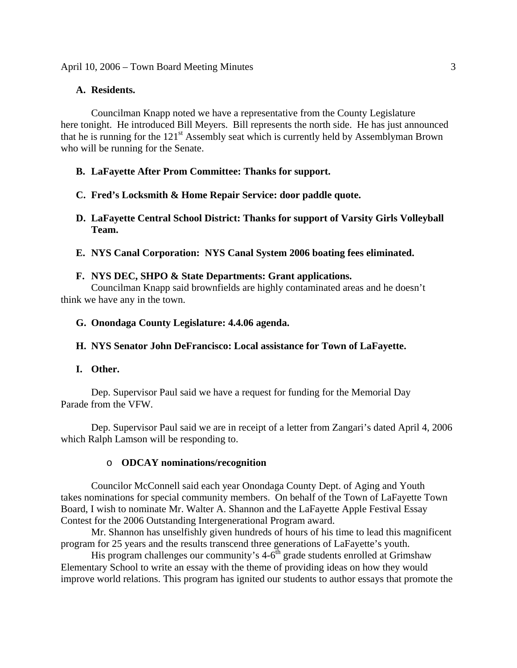## **A. Residents.**

Councilman Knapp noted we have a representative from the County Legislature here tonight. He introduced Bill Meyers. Bill represents the north side. He has just announced that he is running for the  $121<sup>st</sup>$  Assembly seat which is currently held by Assemblyman Brown who will be running for the Senate.

# **B. LaFayette After Prom Committee: Thanks for support.**

- **C. Fred's Locksmith & Home Repair Service: door paddle quote.**
- **D. LaFayette Central School District: Thanks for support of Varsity Girls Volleyball Team.**
- **E. NYS Canal Corporation: NYS Canal System 2006 boating fees eliminated.**

# **F. NYS DEC, SHPO & State Departments: Grant applications.**

Councilman Knapp said brownfields are highly contaminated areas and he doesn't think we have any in the town.

**G. Onondaga County Legislature: 4.4.06 agenda.** 

# **H. NYS Senator John DeFrancisco: Local assistance for Town of LaFayette.**

### **I. Other.**

Dep. Supervisor Paul said we have a request for funding for the Memorial Day Parade from the VFW.

 Dep. Supervisor Paul said we are in receipt of a letter from Zangari's dated April 4, 2006 which Ralph Lamson will be responding to.

### o **ODCAY nominations/recognition**

Councilor McConnell said each year Onondaga County Dept. of Aging and Youth takes nominations for special community members. On behalf of the Town of LaFayette Town Board, I wish to nominate Mr. Walter A. Shannon and the LaFayette Apple Festival Essay Contest for the 2006 Outstanding Intergenerational Program award.

Mr. Shannon has unselfishly given hundreds of hours of his time to lead this magnificent program for 25 years and the results transcend three generations of LaFayette's youth.

His program challenges our community's  $4-6^{\text{th}}$  grade students enrolled at Grimshaw Elementary School to write an essay with the theme of providing ideas on how they would improve world relations. This program has ignited our students to author essays that promote the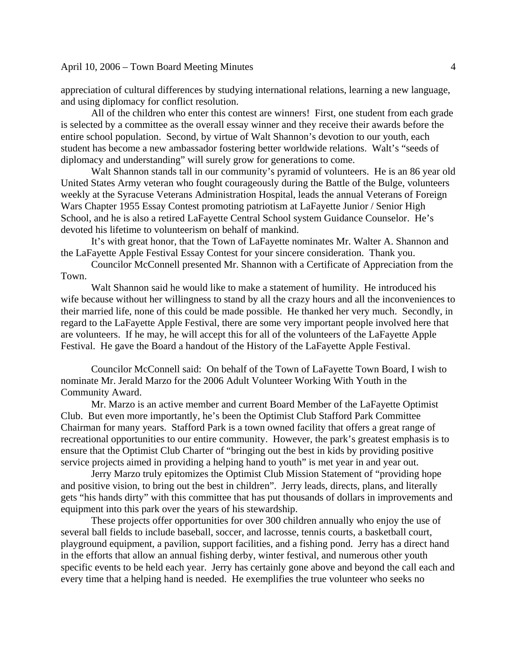appreciation of cultural differences by studying international relations, learning a new language, and using diplomacy for conflict resolution.

All of the children who enter this contest are winners! First, one student from each grade is selected by a committee as the overall essay winner and they receive their awards before the entire school population. Second, by virtue of Walt Shannon's devotion to our youth, each student has become a new ambassador fostering better worldwide relations. Walt's "seeds of diplomacy and understanding" will surely grow for generations to come.

Walt Shannon stands tall in our community's pyramid of volunteers. He is an 86 year old United States Army veteran who fought courageously during the Battle of the Bulge, volunteers weekly at the Syracuse Veterans Administration Hospital, leads the annual Veterans of Foreign Wars Chapter 1955 Essay Contest promoting patriotism at LaFayette Junior / Senior High School, and he is also a retired LaFayette Central School system Guidance Counselor. He's devoted his lifetime to volunteerism on behalf of mankind.

It's with great honor, that the Town of LaFayette nominates Mr. Walter A. Shannon and the LaFayette Apple Festival Essay Contest for your sincere consideration. Thank you.

 Councilor McConnell presented Mr. Shannon with a Certificate of Appreciation from the Town.

 Walt Shannon said he would like to make a statement of humility. He introduced his wife because without her willingness to stand by all the crazy hours and all the inconveniences to their married life, none of this could be made possible. He thanked her very much. Secondly, in regard to the LaFayette Apple Festival, there are some very important people involved here that are volunteers. If he may, he will accept this for all of the volunteers of the LaFayette Apple Festival. He gave the Board a handout of the History of the LaFayette Apple Festival.

 Councilor McConnell said: On behalf of the Town of LaFayette Town Board, I wish to nominate Mr. Jerald Marzo for the 2006 Adult Volunteer Working With Youth in the Community Award.

Mr. Marzo is an active member and current Board Member of the LaFayette Optimist Club. But even more importantly, he's been the Optimist Club Stafford Park Committee Chairman for many years. Stafford Park is a town owned facility that offers a great range of recreational opportunities to our entire community. However, the park's greatest emphasis is to ensure that the Optimist Club Charter of "bringing out the best in kids by providing positive service projects aimed in providing a helping hand to youth" is met year in and year out.

Jerry Marzo truly epitomizes the Optimist Club Mission Statement of "providing hope and positive vision, to bring out the best in children". Jerry leads, directs, plans, and literally gets "his hands dirty" with this committee that has put thousands of dollars in improvements and equipment into this park over the years of his stewardship.

These projects offer opportunities for over 300 children annually who enjoy the use of several ball fields to include baseball, soccer, and lacrosse, tennis courts, a basketball court, playground equipment, a pavilion, support facilities, and a fishing pond. Jerry has a direct hand in the efforts that allow an annual fishing derby, winter festival, and numerous other youth specific events to be held each year. Jerry has certainly gone above and beyond the call each and every time that a helping hand is needed. He exemplifies the true volunteer who seeks no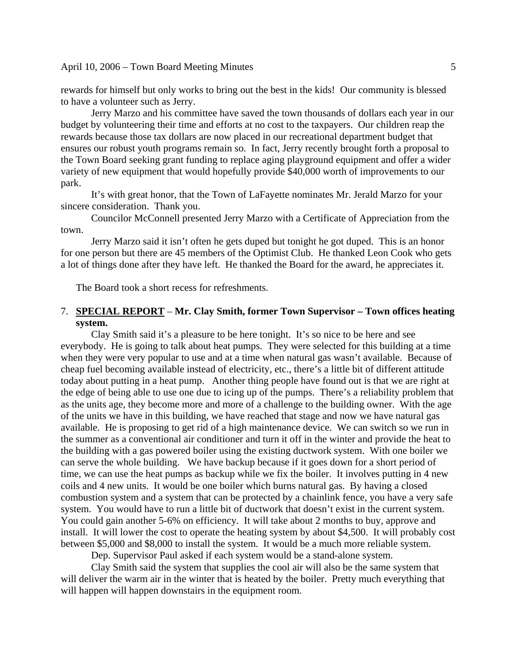rewards for himself but only works to bring out the best in the kids! Our community is blessed to have a volunteer such as Jerry.

Jerry Marzo and his committee have saved the town thousands of dollars each year in our budget by volunteering their time and efforts at no cost to the taxpayers. Our children reap the rewards because those tax dollars are now placed in our recreational department budget that ensures our robust youth programs remain so. In fact, Jerry recently brought forth a proposal to the Town Board seeking grant funding to replace aging playground equipment and offer a wider variety of new equipment that would hopefully provide \$40,000 worth of improvements to our park.

It's with great honor, that the Town of LaFayette nominates Mr. Jerald Marzo for your sincere consideration. Thank you.

Councilor McConnell presented Jerry Marzo with a Certificate of Appreciation from the town.

Jerry Marzo said it isn't often he gets duped but tonight he got duped. This is an honor for one person but there are 45 members of the Optimist Club. He thanked Leon Cook who gets a lot of things done after they have left. He thanked the Board for the award, he appreciates it.

The Board took a short recess for refreshments.

### 7. **SPECIAL REPORT** – **Mr. Clay Smith, former Town Supervisor – Town offices heating system.**

Clay Smith said it's a pleasure to be here tonight. It's so nice to be here and see everybody. He is going to talk about heat pumps. They were selected for this building at a time when they were very popular to use and at a time when natural gas wasn't available. Because of cheap fuel becoming available instead of electricity, etc., there's a little bit of different attitude today about putting in a heat pump. Another thing people have found out is that we are right at the edge of being able to use one due to icing up of the pumps. There's a reliability problem that as the units age, they become more and more of a challenge to the building owner. With the age of the units we have in this building, we have reached that stage and now we have natural gas available. He is proposing to get rid of a high maintenance device. We can switch so we run in the summer as a conventional air conditioner and turn it off in the winter and provide the heat to the building with a gas powered boiler using the existing ductwork system. With one boiler we can serve the whole building. We have backup because if it goes down for a short period of time, we can use the heat pumps as backup while we fix the boiler. It involves putting in 4 new coils and 4 new units. It would be one boiler which burns natural gas. By having a closed combustion system and a system that can be protected by a chainlink fence, you have a very safe system. You would have to run a little bit of ductwork that doesn't exist in the current system. You could gain another 5-6% on efficiency. It will take about 2 months to buy, approve and install. It will lower the cost to operate the heating system by about \$4,500. It will probably cost between \$5,000 and \$8,000 to install the system. It would be a much more reliable system.

Dep. Supervisor Paul asked if each system would be a stand-alone system.

 Clay Smith said the system that supplies the cool air will also be the same system that will deliver the warm air in the winter that is heated by the boiler. Pretty much everything that will happen will happen downstairs in the equipment room.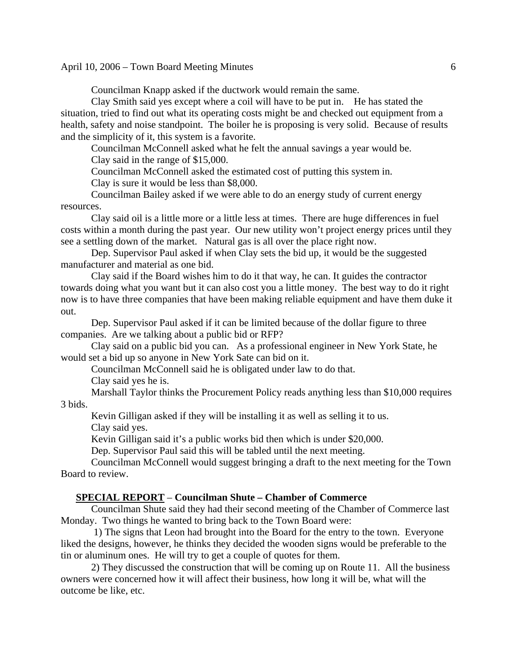Councilman Knapp asked if the ductwork would remain the same.

 Clay Smith said yes except where a coil will have to be put in. He has stated the situation, tried to find out what its operating costs might be and checked out equipment from a health, safety and noise standpoint. The boiler he is proposing is very solid. Because of results and the simplicity of it, this system is a favorite.

 Councilman McConnell asked what he felt the annual savings a year would be. Clay said in the range of \$15,000.

Councilman McConnell asked the estimated cost of putting this system in.

Clay is sure it would be less than \$8,000.

 Councilman Bailey asked if we were able to do an energy study of current energy resources.

 Clay said oil is a little more or a little less at times. There are huge differences in fuel costs within a month during the past year. Our new utility won't project energy prices until they see a settling down of the market. Natural gas is all over the place right now.

 Dep. Supervisor Paul asked if when Clay sets the bid up, it would be the suggested manufacturer and material as one bid.

 Clay said if the Board wishes him to do it that way, he can. It guides the contractor towards doing what you want but it can also cost you a little money. The best way to do it right now is to have three companies that have been making reliable equipment and have them duke it out.

 Dep. Supervisor Paul asked if it can be limited because of the dollar figure to three companies. Are we talking about a public bid or RFP?

 Clay said on a public bid you can. As a professional engineer in New York State, he would set a bid up so anyone in New York Sate can bid on it.

Councilman McConnell said he is obligated under law to do that.

Clay said yes he is.

 Marshall Taylor thinks the Procurement Policy reads anything less than \$10,000 requires 3 bids.

 Kevin Gilligan asked if they will be installing it as well as selling it to us. Clay said yes.

Kevin Gilligan said it's a public works bid then which is under \$20,000.

Dep. Supervisor Paul said this will be tabled until the next meeting.

 Councilman McConnell would suggest bringing a draft to the next meeting for the Town Board to review.

#### **SPECIAL REPORT** – **Councilman Shute – Chamber of Commerce**

Councilman Shute said they had their second meeting of the Chamber of Commerce last Monday. Two things he wanted to bring back to the Town Board were:

 1) The signs that Leon had brought into the Board for the entry to the town. Everyone liked the designs, however, he thinks they decided the wooden signs would be preferable to the tin or aluminum ones. He will try to get a couple of quotes for them.

 2) They discussed the construction that will be coming up on Route 11. All the business owners were concerned how it will affect their business, how long it will be, what will the outcome be like, etc.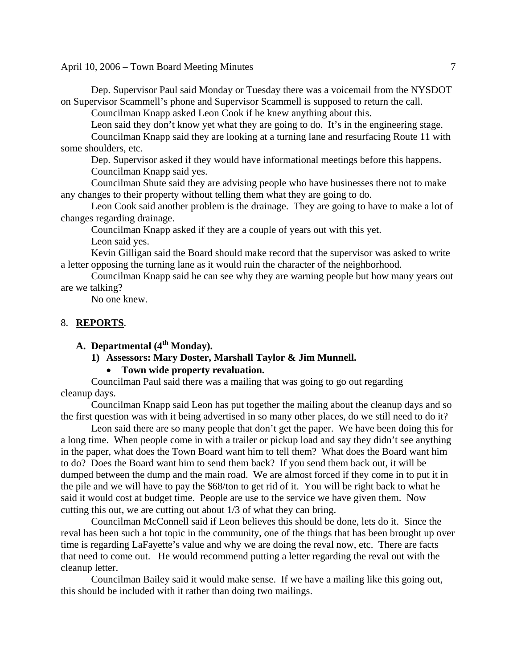Dep. Supervisor Paul said Monday or Tuesday there was a voicemail from the NYSDOT on Supervisor Scammell's phone and Supervisor Scammell is supposed to return the call.

Councilman Knapp asked Leon Cook if he knew anything about this.

Leon said they don't know yet what they are going to do. It's in the engineering stage.

 Councilman Knapp said they are looking at a turning lane and resurfacing Route 11 with some shoulders, etc.

 Dep. Supervisor asked if they would have informational meetings before this happens. Councilman Knapp said yes.

 Councilman Shute said they are advising people who have businesses there not to make any changes to their property without telling them what they are going to do.

 Leon Cook said another problem is the drainage. They are going to have to make a lot of changes regarding drainage.

Councilman Knapp asked if they are a couple of years out with this yet.

Leon said yes.

 Kevin Gilligan said the Board should make record that the supervisor was asked to write a letter opposing the turning lane as it would ruin the character of the neighborhood.

 Councilman Knapp said he can see why they are warning people but how many years out are we talking?

No one knew.

#### 8. **REPORTS**.

# A. **Departmental** (4<sup>th</sup> Monday).

**1) Assessors: Mary Doster, Marshall Taylor & Jim Munnell.** 

### • **Town wide property revaluation.**

Councilman Paul said there was a mailing that was going to go out regarding cleanup days.

 Councilman Knapp said Leon has put together the mailing about the cleanup days and so the first question was with it being advertised in so many other places, do we still need to do it?

 Leon said there are so many people that don't get the paper. We have been doing this for a long time. When people come in with a trailer or pickup load and say they didn't see anything in the paper, what does the Town Board want him to tell them? What does the Board want him to do? Does the Board want him to send them back? If you send them back out, it will be dumped between the dump and the main road. We are almost forced if they come in to put it in the pile and we will have to pay the \$68/ton to get rid of it. You will be right back to what he said it would cost at budget time. People are use to the service we have given them. Now cutting this out, we are cutting out about 1/3 of what they can bring.

 Councilman McConnell said if Leon believes this should be done, lets do it. Since the reval has been such a hot topic in the community, one of the things that has been brought up over time is regarding LaFayette's value and why we are doing the reval now, etc. There are facts that need to come out. He would recommend putting a letter regarding the reval out with the cleanup letter.

 Councilman Bailey said it would make sense. If we have a mailing like this going out, this should be included with it rather than doing two mailings.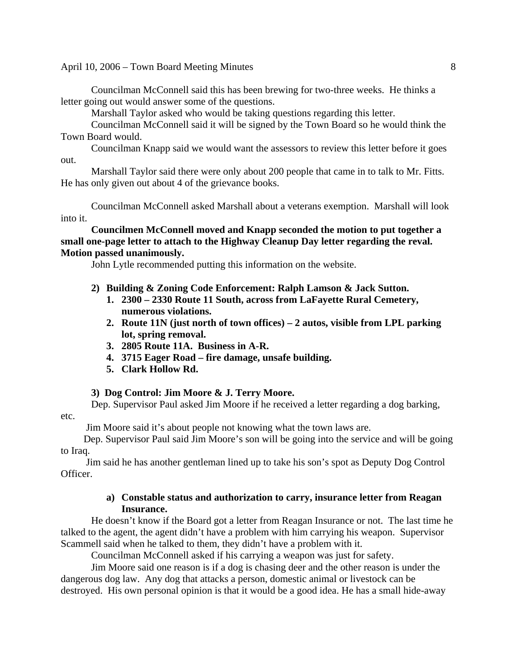Councilman McConnell said this has been brewing for two-three weeks. He thinks a letter going out would answer some of the questions.

Marshall Taylor asked who would be taking questions regarding this letter.

 Councilman McConnell said it will be signed by the Town Board so he would think the Town Board would.

 Councilman Knapp said we would want the assessors to review this letter before it goes out.

 Marshall Taylor said there were only about 200 people that came in to talk to Mr. Fitts. He has only given out about 4 of the grievance books.

 Councilman McConnell asked Marshall about a veterans exemption. Marshall will look into it.

**Councilmen McConnell moved and Knapp seconded the motion to put together a small one-page letter to attach to the Highway Cleanup Day letter regarding the reval. Motion passed unanimously.** 

John Lytle recommended putting this information on the website.

- **2) Building & Zoning Code Enforcement: Ralph Lamson & Jack Sutton.** 
	- **1. 2300 2330 Route 11 South, across from LaFayette Rural Cemetery, numerous violations.**
	- **2. Route 11N (just north of town offices) 2 autos, visible from LPL parking lot, spring removal.**
	- **3. 2805 Route 11A. Business in A-R.**
	- **4. 3715 Eager Road fire damage, unsafe building.**
	- **5. Clark Hollow Rd.**

#### **3) Dog Control: Jim Moore & J. Terry Moore.**

Dep. Supervisor Paul asked Jim Moore if he received a letter regarding a dog barking, etc.

Jim Moore said it's about people not knowing what the town laws are.

 Dep. Supervisor Paul said Jim Moore's son will be going into the service and will be going to Iraq.

 Jim said he has another gentleman lined up to take his son's spot as Deputy Dog Control Officer.

### **a) Constable status and authorization to carry, insurance letter from Reagan Insurance.**

He doesn't know if the Board got a letter from Reagan Insurance or not. The last time he talked to the agent, the agent didn't have a problem with him carrying his weapon. Supervisor Scammell said when he talked to them, they didn't have a problem with it.

Councilman McConnell asked if his carrying a weapon was just for safety.

Jim Moore said one reason is if a dog is chasing deer and the other reason is under the dangerous dog law. Any dog that attacks a person, domestic animal or livestock can be destroyed. His own personal opinion is that it would be a good idea. He has a small hide-away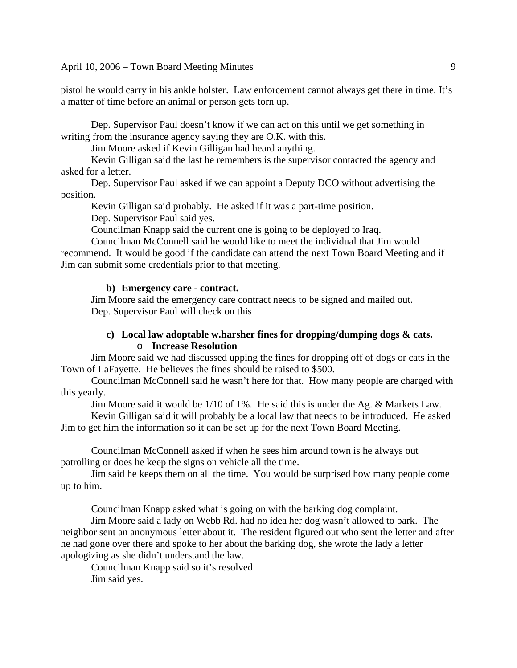pistol he would carry in his ankle holster. Law enforcement cannot always get there in time. It's a matter of time before an animal or person gets torn up.

Dep. Supervisor Paul doesn't know if we can act on this until we get something in writing from the insurance agency saying they are O.K. with this.

Jim Moore asked if Kevin Gilligan had heard anything.

Kevin Gilligan said the last he remembers is the supervisor contacted the agency and asked for a letter.

Dep. Supervisor Paul asked if we can appoint a Deputy DCO without advertising the position.

Kevin Gilligan said probably. He asked if it was a part-time position.

Dep. Supervisor Paul said yes.

Councilman Knapp said the current one is going to be deployed to Iraq.

Councilman McConnell said he would like to meet the individual that Jim would recommend. It would be good if the candidate can attend the next Town Board Meeting and if Jim can submit some credentials prior to that meeting.

### **b) Emergency care - contract.**

Jim Moore said the emergency care contract needs to be signed and mailed out. Dep. Supervisor Paul will check on this

### **c) Local law adoptable w.harsher fines for dropping/dumping dogs & cats.**  o **Increase Resolution**

Jim Moore said we had discussed upping the fines for dropping off of dogs or cats in the Town of LaFayette. He believes the fines should be raised to \$500.

Councilman McConnell said he wasn't here for that. How many people are charged with this yearly.

Jim Moore said it would be 1/10 of 1%. He said this is under the Ag. & Markets Law.

Kevin Gilligan said it will probably be a local law that needs to be introduced. He asked Jim to get him the information so it can be set up for the next Town Board Meeting.

Councilman McConnell asked if when he sees him around town is he always out patrolling or does he keep the signs on vehicle all the time.

Jim said he keeps them on all the time. You would be surprised how many people come up to him.

Councilman Knapp asked what is going on with the barking dog complaint.

Jim Moore said a lady on Webb Rd. had no idea her dog wasn't allowed to bark. The neighbor sent an anonymous letter about it. The resident figured out who sent the letter and after he had gone over there and spoke to her about the barking dog, she wrote the lady a letter apologizing as she didn't understand the law.

Councilman Knapp said so it's resolved. Jim said yes.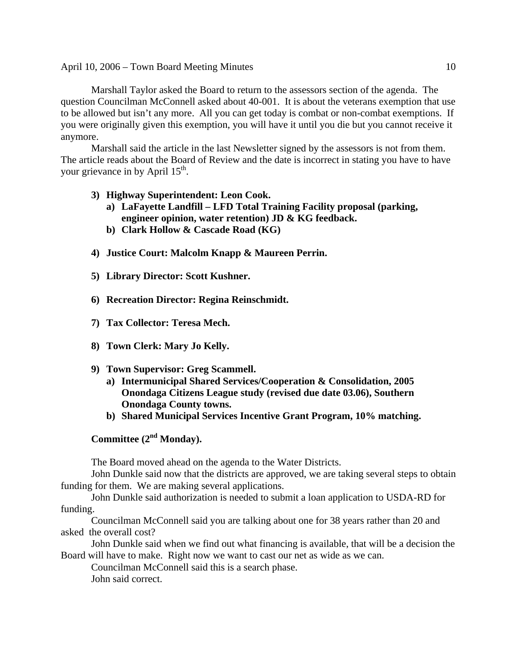Marshall Taylor asked the Board to return to the assessors section of the agenda. The question Councilman McConnell asked about 40-001. It is about the veterans exemption that use to be allowed but isn't any more. All you can get today is combat or non-combat exemptions. If you were originally given this exemption, you will have it until you die but you cannot receive it anymore.

Marshall said the article in the last Newsletter signed by the assessors is not from them. The article reads about the Board of Review and the date is incorrect in stating you have to have your grievance in by April 15<sup>th</sup>.

- **3) Highway Superintendent: Leon Cook.** 
	- **a) LaFayette Landfill LFD Total Training Facility proposal (parking, engineer opinion, water retention) JD & KG feedback.**
	- **b) Clark Hollow & Cascade Road (KG)**
- **4) Justice Court: Malcolm Knapp & Maureen Perrin.**
- **5) Library Director: Scott Kushner.**
- **6) Recreation Director: Regina Reinschmidt.**
- **7) Tax Collector: Teresa Mech.**
- **8) Town Clerk: Mary Jo Kelly.**
- **9) Town Supervisor: Greg Scammell.** 
	- **a) Intermunicipal Shared Services/Cooperation & Consolidation, 2005 Onondaga Citizens League study (revised due date 03.06), Southern Onondaga County towns.**
	- **b) Shared Municipal Services Incentive Grant Program, 10% matching.**

Committee (2<sup>nd</sup> Monday).

The Board moved ahead on the agenda to the Water Districts.

John Dunkle said now that the districts are approved, we are taking several steps to obtain funding for them. We are making several applications.

John Dunkle said authorization is needed to submit a loan application to USDA-RD for funding.

Councilman McConnell said you are talking about one for 38 years rather than 20 and asked the overall cost?

John Dunkle said when we find out what financing is available, that will be a decision the Board will have to make. Right now we want to cast our net as wide as we can.

Councilman McConnell said this is a search phase.

John said correct.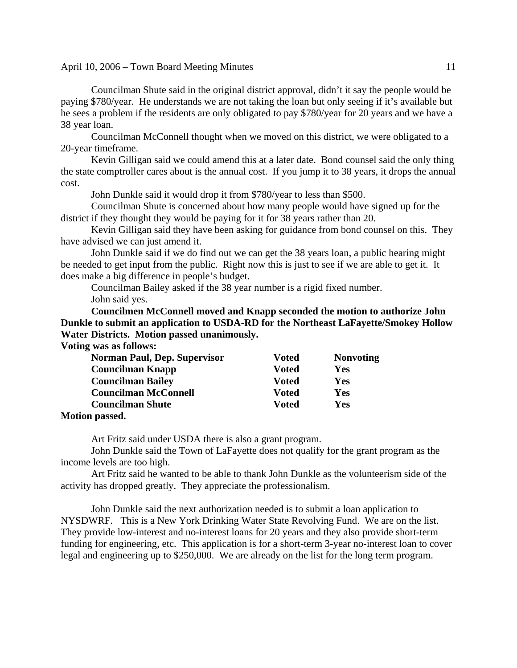Councilman Shute said in the original district approval, didn't it say the people would be paying \$780/year. He understands we are not taking the loan but only seeing if it's available but he sees a problem if the residents are only obligated to pay \$780/year for 20 years and we have a 38 year loan.

Councilman McConnell thought when we moved on this district, we were obligated to a 20-year timeframe.

Kevin Gilligan said we could amend this at a later date. Bond counsel said the only thing the state comptroller cares about is the annual cost. If you jump it to 38 years, it drops the annual cost.

John Dunkle said it would drop it from \$780/year to less than \$500.

Councilman Shute is concerned about how many people would have signed up for the district if they thought they would be paying for it for 38 years rather than 20.

Kevin Gilligan said they have been asking for guidance from bond counsel on this. They have advised we can just amend it.

John Dunkle said if we do find out we can get the 38 years loan, a public hearing might be needed to get input from the public. Right now this is just to see if we are able to get it. It does make a big difference in people's budget.

Councilman Bailey asked if the 38 year number is a rigid fixed number. John said yes.

**Councilmen McConnell moved and Knapp seconded the motion to authorize John Dunkle to submit an application to USDA-RD for the Northeast LaFayette/Smokey Hollow Water Districts. Motion passed unanimously. Voting was as follows:** 

| <b>Voted</b> | <b>Nonvoting</b> |
|--------------|------------------|
| <b>Voted</b> | Yes              |
| Voted        | Yes              |
| <b>Voted</b> | Yes              |
| Voted        | Yes              |
|              |                  |

#### **Motion passed.**

Art Fritz said under USDA there is also a grant program.

John Dunkle said the Town of LaFayette does not qualify for the grant program as the income levels are too high.

Art Fritz said he wanted to be able to thank John Dunkle as the volunteerism side of the activity has dropped greatly. They appreciate the professionalism.

John Dunkle said the next authorization needed is to submit a loan application to NYSDWRF. This is a New York Drinking Water State Revolving Fund. We are on the list. They provide low-interest and no-interest loans for 20 years and they also provide short-term funding for engineering, etc. This application is for a short-term 3-year no-interest loan to cover legal and engineering up to \$250,000. We are already on the list for the long term program.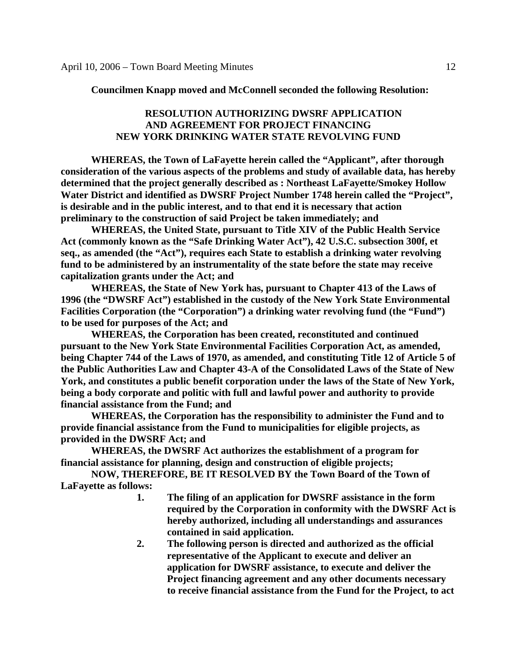**Councilmen Knapp moved and McConnell seconded the following Resolution:** 

### **RESOLUTION AUTHORIZING DWSRF APPLICATION AND AGREEMENT FOR PROJECT FINANCING NEW YORK DRINKING WATER STATE REVOLVING FUND**

 **WHEREAS, the Town of LaFayette herein called the "Applicant", after thorough consideration of the various aspects of the problems and study of available data, has hereby determined that the project generally described as : Northeast LaFayette/Smokey Hollow Water District and identified as DWSRF Project Number 1748 herein called the "Project", is desirable and in the public interest, and to that end it is necessary that action preliminary to the construction of said Project be taken immediately; and** 

 **WHEREAS, the United State, pursuant to Title XIV of the Public Health Service Act (commonly known as the "Safe Drinking Water Act"), 42 U.S.C. subsection 300f, et seq., as amended (the "Act"), requires each State to establish a drinking water revolving fund to be administered by an instrumentality of the state before the state may receive capitalization grants under the Act; and** 

 **WHEREAS, the State of New York has, pursuant to Chapter 413 of the Laws of 1996 (the "DWSRF Act") established in the custody of the New York State Environmental Facilities Corporation (the "Corporation") a drinking water revolving fund (the "Fund") to be used for purposes of the Act; and** 

 **WHEREAS, the Corporation has been created, reconstituted and continued pursuant to the New York State Environmental Facilities Corporation Act, as amended, being Chapter 744 of the Laws of 1970, as amended, and constituting Title 12 of Article 5 of the Public Authorities Law and Chapter 43-A of the Consolidated Laws of the State of New York, and constitutes a public benefit corporation under the laws of the State of New York, being a body corporate and politic with full and lawful power and authority to provide financial assistance from the Fund; and** 

 **WHEREAS, the Corporation has the responsibility to administer the Fund and to provide financial assistance from the Fund to municipalities for eligible projects, as provided in the DWSRF Act; and** 

 **WHEREAS, the DWSRF Act authorizes the establishment of a program for financial assistance for planning, design and construction of eligible projects;** 

 **NOW, THEREFORE, BE IT RESOLVED BY the Town Board of the Town of LaFayette as follows:** 

- **1. The filing of an application for DWSRF assistance in the form required by the Corporation in conformity with the DWSRF Act is hereby authorized, including all understandings and assurances contained in said application.**
- **2. The following person is directed and authorized as the official representative of the Applicant to execute and deliver an application for DWSRF assistance, to execute and deliver the Project financing agreement and any other documents necessary to receive financial assistance from the Fund for the Project, to act**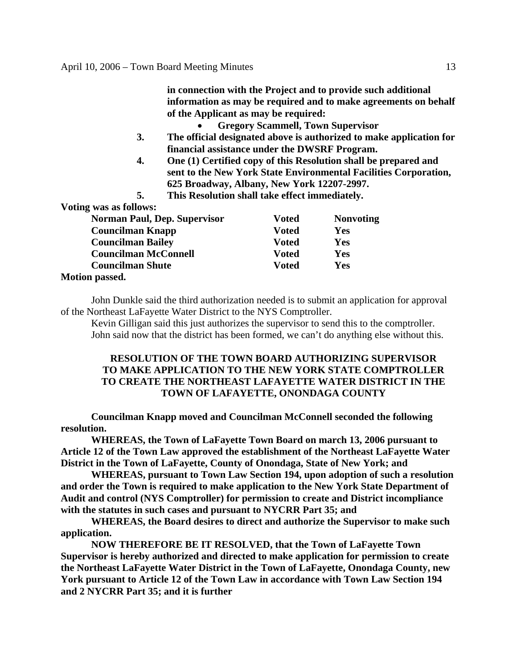|                                                                                                                                                      |                                                                                                                                     |                                          | in connection with the Project and to provide such additional       |
|------------------------------------------------------------------------------------------------------------------------------------------------------|-------------------------------------------------------------------------------------------------------------------------------------|------------------------------------------|---------------------------------------------------------------------|
|                                                                                                                                                      |                                                                                                                                     |                                          | information as may be required and to make agreements on behalf     |
|                                                                                                                                                      | of the Applicant as may be required:                                                                                                |                                          |                                                                     |
|                                                                                                                                                      |                                                                                                                                     | <b>Gregory Scammell, Town Supervisor</b> |                                                                     |
| 3.                                                                                                                                                   |                                                                                                                                     |                                          | The official designated above is authorized to make application for |
|                                                                                                                                                      | financial assistance under the DWSRF Program.                                                                                       |                                          |                                                                     |
| 4.                                                                                                                                                   | One (1) Certified copy of this Resolution shall be prepared and<br>sent to the New York State Environmental Facilities Corporation, |                                          |                                                                     |
|                                                                                                                                                      | 625 Broadway, Albany, New York 12207-2997.                                                                                          |                                          |                                                                     |
| 5.                                                                                                                                                   | This Resolution shall take effect immediately.                                                                                      |                                          |                                                                     |
| Voting was as follows:                                                                                                                               |                                                                                                                                     |                                          |                                                                     |
| <b>Norman Paul, Dep. Supervisor</b><br><b>Councilman Knapp</b><br><b>Councilman Bailey</b><br><b>Councilman McConnell</b><br><b>Councilman Shute</b> |                                                                                                                                     | <b>Voted</b>                             | <b>Nonvoting</b>                                                    |
|                                                                                                                                                      |                                                                                                                                     | <b>Voted</b>                             | <b>Yes</b>                                                          |
|                                                                                                                                                      |                                                                                                                                     | <b>Voted</b>                             | Yes                                                                 |
|                                                                                                                                                      |                                                                                                                                     | <b>Voted</b>                             | Yes                                                                 |
|                                                                                                                                                      |                                                                                                                                     | <b>Voted</b>                             | <b>Yes</b>                                                          |
| <b>Motion passed.</b>                                                                                                                                |                                                                                                                                     |                                          |                                                                     |
|                                                                                                                                                      |                                                                                                                                     |                                          |                                                                     |

John Dunkle said the third authorization needed is to submit an application for approval of the Northeast LaFayette Water District to the NYS Comptroller.

Kevin Gilligan said this just authorizes the supervisor to send this to the comptroller. John said now that the district has been formed, we can't do anything else without this.

# **RESOLUTION OF THE TOWN BOARD AUTHORIZING SUPERVISOR TO MAKE APPLICATION TO THE NEW YORK STATE COMPTROLLER TO CREATE THE NORTHEAST LAFAYETTE WATER DISTRICT IN THE TOWN OF LAFAYETTE, ONONDAGA COUNTY**

 **Councilman Knapp moved and Councilman McConnell seconded the following resolution.** 

 **WHEREAS, the Town of LaFayette Town Board on march 13, 2006 pursuant to Article 12 of the Town Law approved the establishment of the Northeast LaFayette Water District in the Town of LaFayette, County of Onondaga, State of New York; and** 

 **WHEREAS, pursuant to Town Law Section 194, upon adoption of such a resolution and order the Town is required to make application to the New York State Department of Audit and control (NYS Comptroller) for permission to create and District incompliance with the statutes in such cases and pursuant to NYCRR Part 35; and** 

 **WHEREAS, the Board desires to direct and authorize the Supervisor to make such application.** 

 **NOW THEREFORE BE IT RESOLVED, that the Town of LaFayette Town Supervisor is hereby authorized and directed to make application for permission to create the Northeast LaFayette Water District in the Town of LaFayette, Onondaga County, new York pursuant to Article 12 of the Town Law in accordance with Town Law Section 194 and 2 NYCRR Part 35; and it is further**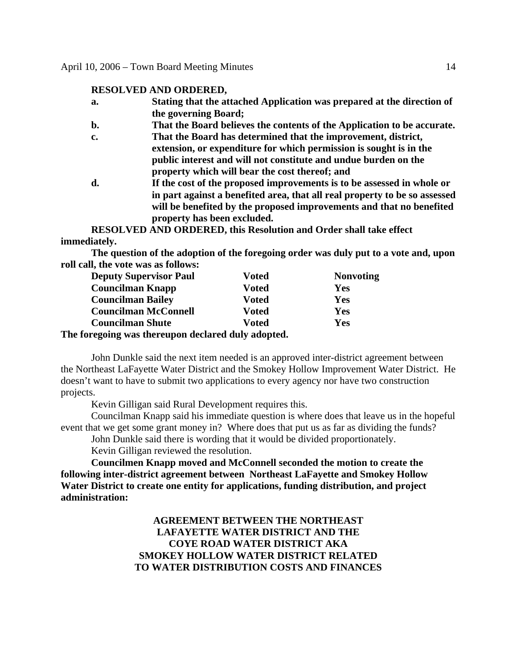### **RESOLVED AND ORDERED,**

- **a. Stating that the attached Application was prepared at the direction of the governing Board;**
- **b. That the Board believes the contents of the Application to be accurate.**
- **c. That the Board has determined that the improvement, district, extension, or expenditure for which permission is sought is in the public interest and will not constitute and undue burden on the property which will bear the cost thereof; and**
- **d. If the cost of the proposed improvements is to be assessed in whole or in part against a benefited area, that all real property to be so assessed will be benefited by the proposed improvements and that no benefited property has been excluded.**

**RESOLVED AND ORDERED, this Resolution and Order shall take effect immediately.** 

 **The question of the adoption of the foregoing order was duly put to a vote and, upon roll call, the vote was as follows:** 

| <b>Deputy Supervisor Paul</b>                 | Voted | <b>Nonvoting</b> |
|-----------------------------------------------|-------|------------------|
| <b>Councilman Knapp</b>                       | Voted | Yes              |
| <b>Councilman Bailey</b>                      | Voted | Yes              |
| <b>Councilman McConnell</b>                   | Voted | Yes              |
| <b>Councilman Shute</b>                       | Voted | Yes              |
| forogoing was thorounan declared duly adented |       |                  |

**The foregoing was thereupon declared duly adopted.** 

John Dunkle said the next item needed is an approved inter-district agreement between the Northeast LaFayette Water District and the Smokey Hollow Improvement Water District. He doesn't want to have to submit two applications to every agency nor have two construction projects.

Kevin Gilligan said Rural Development requires this.

Councilman Knapp said his immediate question is where does that leave us in the hopeful event that we get some grant money in? Where does that put us as far as dividing the funds?

John Dunkle said there is wording that it would be divided proportionately.

Kevin Gilligan reviewed the resolution.

**Councilmen Knapp moved and McConnell seconded the motion to create the following inter-district agreement between Northeast LaFayette and Smokey Hollow Water District to create one entity for applications, funding distribution, and project administration:** 

> **AGREEMENT BETWEEN THE NORTHEAST LAFAYETTE WATER DISTRICT AND THE COYE ROAD WATER DISTRICT AKA SMOKEY HOLLOW WATER DISTRICT RELATED TO WATER DISTRIBUTION COSTS AND FINANCES**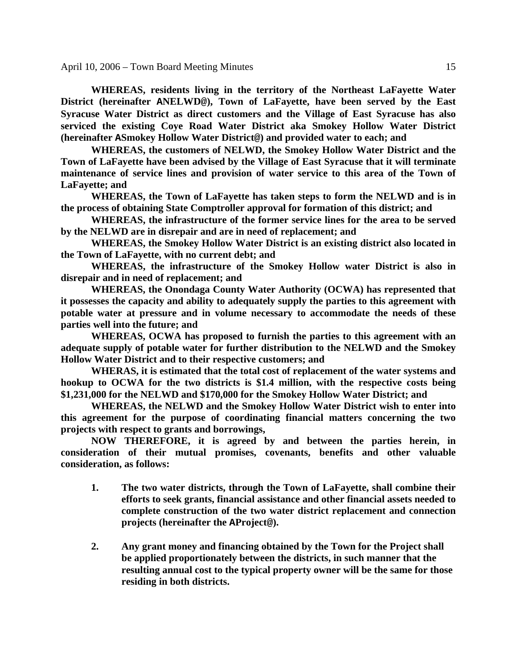**WHEREAS, residents living in the territory of the Northeast LaFayette Water District (hereinafter ANELWD@), Town of LaFayette, have been served by the East Syracuse Water District as direct customers and the Village of East Syracuse has also serviced the existing Coye Road Water District aka Smokey Hollow Water District (hereinafter ASmokey Hollow Water District@) and provided water to each; and** 

**WHEREAS, the customers of NELWD, the Smokey Hollow Water District and the Town of LaFayette have been advised by the Village of East Syracuse that it will terminate maintenance of service lines and provision of water service to this area of the Town of LaFayette; and** 

**WHEREAS, the Town of LaFayette has taken steps to form the NELWD and is in the process of obtaining State Comptroller approval for formation of this district; and** 

**WHEREAS, the infrastructure of the former service lines for the area to be served by the NELWD are in disrepair and are in need of replacement; and** 

**WHEREAS, the Smokey Hollow Water District is an existing district also located in the Town of LaFayette, with no current debt; and** 

**WHEREAS, the infrastructure of the Smokey Hollow water District is also in disrepair and in need of replacement; and** 

**WHEREAS, the Onondaga County Water Authority (OCWA) has represented that it possesses the capacity and ability to adequately supply the parties to this agreement with potable water at pressure and in volume necessary to accommodate the needs of these parties well into the future; and** 

**WHEREAS, OCWA has proposed to furnish the parties to this agreement with an adequate supply of potable water for further distribution to the NELWD and the Smokey Hollow Water District and to their respective customers; and** 

**WHERAS, it is estimated that the total cost of replacement of the water systems and hookup to OCWA for the two districts is \$1.4 million, with the respective costs being \$1,231,000 for the NELWD and \$170,000 for the Smokey Hollow Water District; and** 

**WHEREAS, the NELWD and the Smokey Hollow Water District wish to enter into this agreement for the purpose of coordinating financial matters concerning the two projects with respect to grants and borrowings,** 

**NOW THEREFORE, it is agreed by and between the parties herein, in consideration of their mutual promises, covenants, benefits and other valuable consideration, as follows:** 

- **1. The two water districts, through the Town of LaFayette, shall combine their efforts to seek grants, financial assistance and other financial assets needed to complete construction of the two water district replacement and connection projects (hereinafter the AProject@).**
- **2. Any grant money and financing obtained by the Town for the Project shall be applied proportionately between the districts, in such manner that the resulting annual cost to the typical property owner will be the same for those residing in both districts.**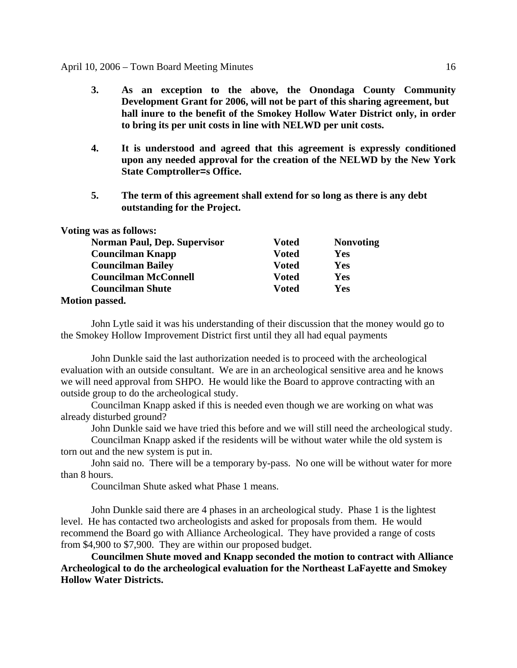- **3. As an exception to the above, the Onondaga County Community Development Grant for 2006, will not be part of this sharing agreement, but hall inure to the benefit of the Smokey Hollow Water District only, in order to bring its per unit costs in line with NELWD per unit costs.**
- **4. It is understood and agreed that this agreement is expressly conditioned upon any needed approval for the creation of the NELWD by the New York State Comptroller=s Office.**
- **5. The term of this agreement shall extend for so long as there is any debt outstanding for the Project.**

| Voting was as follows:              |              |                  |
|-------------------------------------|--------------|------------------|
| <b>Norman Paul, Dep. Supervisor</b> | Voted        | <b>Nonvoting</b> |
| <b>Councilman Knapp</b>             | Voted        | <b>Yes</b>       |
| <b>Councilman Bailey</b>            | <b>Voted</b> | Yes              |
| <b>Councilman McConnell</b>         | Voted        | Yes              |
| <b>Councilman Shute</b>             | Voted        | Yes              |
| <b>Motion passed.</b>               |              |                  |

 John Lytle said it was his understanding of their discussion that the money would go to the Smokey Hollow Improvement District first until they all had equal payments

John Dunkle said the last authorization needed is to proceed with the archeological evaluation with an outside consultant. We are in an archeological sensitive area and he knows we will need approval from SHPO. He would like the Board to approve contracting with an outside group to do the archeological study.

 Councilman Knapp asked if this is needed even though we are working on what was already disturbed ground?

John Dunkle said we have tried this before and we will still need the archeological study.

 Councilman Knapp asked if the residents will be without water while the old system is torn out and the new system is put in.

 John said no. There will be a temporary by-pass. No one will be without water for more than 8 hours.

Councilman Shute asked what Phase 1 means.

 John Dunkle said there are 4 phases in an archeological study. Phase 1 is the lightest level. He has contacted two archeologists and asked for proposals from them. He would recommend the Board go with Alliance Archeological. They have provided a range of costs from \$4,900 to \$7,900. They are within our proposed budget.

**Councilmen Shute moved and Knapp seconded the motion to contract with Alliance Archeological to do the archeological evaluation for the Northeast LaFayette and Smokey Hollow Water Districts.**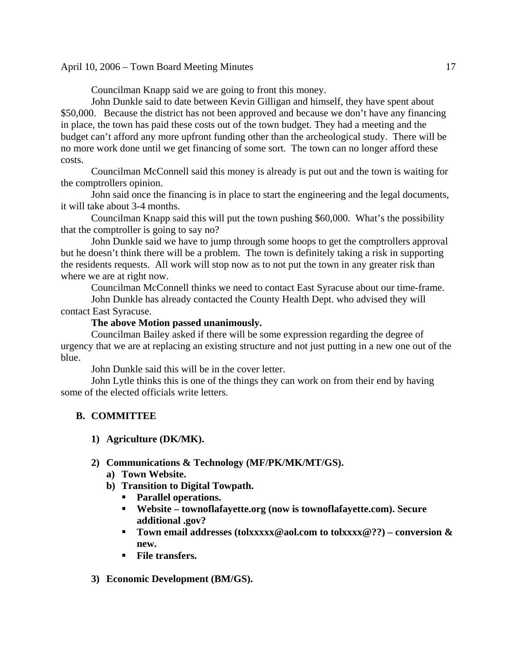Councilman Knapp said we are going to front this money.

 John Dunkle said to date between Kevin Gilligan and himself, they have spent about \$50,000. Because the district has not been approved and because we don't have any financing in place, the town has paid these costs out of the town budget. They had a meeting and the budget can't afford any more upfront funding other than the archeological study. There will be no more work done until we get financing of some sort. The town can no longer afford these costs.

 Councilman McConnell said this money is already is put out and the town is waiting for the comptrollers opinion.

 John said once the financing is in place to start the engineering and the legal documents, it will take about 3-4 months.

 Councilman Knapp said this will put the town pushing \$60,000. What's the possibility that the comptroller is going to say no?

 John Dunkle said we have to jump through some hoops to get the comptrollers approval but he doesn't think there will be a problem. The town is definitely taking a risk in supporting the residents requests. All work will stop now as to not put the town in any greater risk than where we are at right now.

 Councilman McConnell thinks we need to contact East Syracuse about our time-frame. John Dunkle has already contacted the County Health Dept. who advised they will contact East Syracuse.

# **The above Motion passed unanimously.**

Councilman Bailey asked if there will be some expression regarding the degree of urgency that we are at replacing an existing structure and not just putting in a new one out of the blue.

John Dunkle said this will be in the cover letter.

 John Lytle thinks this is one of the things they can work on from their end by having some of the elected officials write letters.

# **B. COMMITTEE**

# **1) Agriculture (DK/MK).**

# **2) Communications & Technology (MF/PK/MK/MT/GS).**

- **a) Town Website.**
- **b) Transition to Digital Towpath.** 
	- **Parallel operations.**
	- **Website townoflafayette.org (now is townoflafayette.com). Secure additional .gov?**
	- Town email addresses (tolxxxxx@aol.com to tolxxxx@??) conversion & **new.**
	- **File transfers.**
- **3) Economic Development (BM/GS).**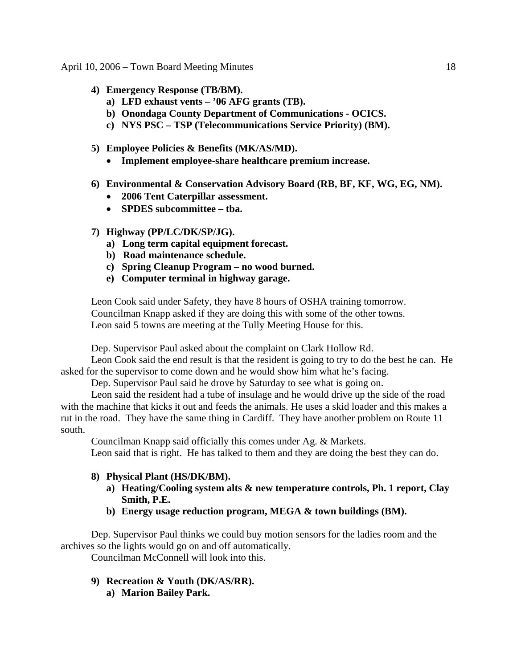- **4) Emergency Response (TB/BM).** 
	- **a) LFD exhaust vents '06 AFG grants (TB).**
	- **b) Onondaga County Department of Communications OCICS.**
	- **c) NYS PSC TSP (Telecommunications Service Priority) (BM).**
- **5) Employee Policies & Benefits (MK/AS/MD).** 
	- **Implement employee-share healthcare premium increase.**
- **6) Environmental & Conservation Advisory Board (RB, BF, KF, WG, EG, NM).** 
	- **2006 Tent Caterpillar assessment.**
	- **SPDES subcommittee tba.**
- **7) Highway (PP/LC/DK/SP/JG).** 
	- **a) Long term capital equipment forecast.**
	- **b) Road maintenance schedule.**
	- **c) Spring Cleanup Program no wood burned.**
	- **e) Computer terminal in highway garage.**

 Leon Cook said under Safety, they have 8 hours of OSHA training tomorrow. Councilman Knapp asked if they are doing this with some of the other towns. Leon said 5 towns are meeting at the Tully Meeting House for this.

Dep. Supervisor Paul asked about the complaint on Clark Hollow Rd.

 Leon Cook said the end result is that the resident is going to try to do the best he can. He asked for the supervisor to come down and he would show him what he's facing.

Dep. Supervisor Paul said he drove by Saturday to see what is going on.

 Leon said the resident had a tube of insulage and he would drive up the side of the road with the machine that kicks it out and feeds the animals. He uses a skid loader and this makes a rut in the road. They have the same thing in Cardiff. They have another problem on Route 11 south.

Councilman Knapp said officially this comes under Ag. & Markets.

Leon said that is right. He has talked to them and they are doing the best they can do.

# **8) Physical Plant (HS/DK/BM).**

- **a) Heating/Cooling system alts & new temperature controls, Ph. 1 report, Clay Smith, P.E.**
- **b) Energy usage reduction program, MEGA & town buildings (BM).**

Dep. Supervisor Paul thinks we could buy motion sensors for the ladies room and the archives so the lights would go on and off automatically.

Councilman McConnell will look into this.

- **9) Recreation & Youth (DK/AS/RR).** 
	- **a) Marion Bailey Park.**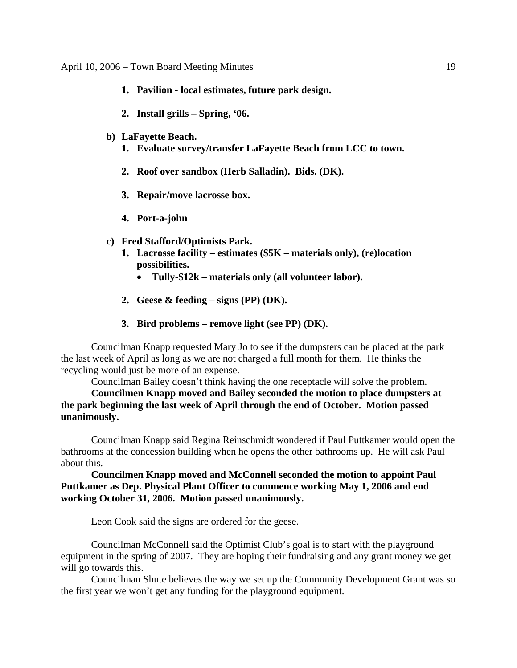- **1. Pavilion local estimates, future park design.**
- **2. Install grills Spring, '06.**
- **b) LaFayette Beach.** 
	- **1. Evaluate survey/transfer LaFayette Beach from LCC to town.**
	- **2. Roof over sandbox (Herb Salladin). Bids. (DK).**
	- **3. Repair/move lacrosse box.**
	- **4. Port-a-john**
- **c) Fred Stafford/Optimists Park.** 
	- **1. Lacrosse facility estimates (\$5K materials only), (re)location possibilities.** 
		- **Tully-\$12k materials only (all volunteer labor).**
	- **2. Geese & feeding signs (PP) (DK).**
	- **3. Bird problems remove light (see PP) (DK).**

Councilman Knapp requested Mary Jo to see if the dumpsters can be placed at the park the last week of April as long as we are not charged a full month for them. He thinks the recycling would just be more of an expense.

Councilman Bailey doesn't think having the one receptacle will solve the problem.

**Councilmen Knapp moved and Bailey seconded the motion to place dumpsters at the park beginning the last week of April through the end of October. Motion passed unanimously.** 

Councilman Knapp said Regina Reinschmidt wondered if Paul Puttkamer would open the bathrooms at the concession building when he opens the other bathrooms up. He will ask Paul about this.

**Councilmen Knapp moved and McConnell seconded the motion to appoint Paul Puttkamer as Dep. Physical Plant Officer to commence working May 1, 2006 and end working October 31, 2006. Motion passed unanimously.** 

Leon Cook said the signs are ordered for the geese.

Councilman McConnell said the Optimist Club's goal is to start with the playground equipment in the spring of 2007. They are hoping their fundraising and any grant money we get will go towards this.

Councilman Shute believes the way we set up the Community Development Grant was so the first year we won't get any funding for the playground equipment.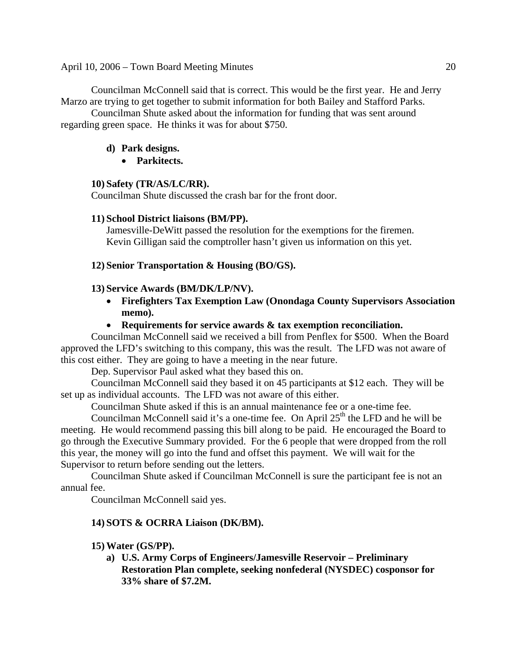Councilman McConnell said that is correct. This would be the first year. He and Jerry Marzo are trying to get together to submit information for both Bailey and Stafford Parks.

Councilman Shute asked about the information for funding that was sent around regarding green space. He thinks it was for about \$750.

### **d) Park designs.**

• **Parkitects.** 

### **10) Safety (TR/AS/LC/RR).**

Councilman Shute discussed the crash bar for the front door.

#### **11) School District liaisons (BM/PP).**

 Jamesville-DeWitt passed the resolution for the exemptions for the firemen. Kevin Gilligan said the comptroller hasn't given us information on this yet.

#### **12) Senior Transportation & Housing (BO/GS).**

#### **13) Service Awards (BM/DK/LP/NV).**

- **Firefighters Tax Exemption Law (Onondaga County Supervisors Association memo).**
- **Requirements for service awards & tax exemption reconciliation.**

Councilman McConnell said we received a bill from Penflex for \$500. When the Board approved the LFD's switching to this company, this was the result. The LFD was not aware of this cost either. They are going to have a meeting in the near future.

Dep. Supervisor Paul asked what they based this on.

Councilman McConnell said they based it on 45 participants at \$12 each. They will be set up as individual accounts. The LFD was not aware of this either.

Councilman Shute asked if this is an annual maintenance fee or a one-time fee.

Councilman McConnell said it's a one-time fee. On April  $25<sup>th</sup>$  the LFD and he will be meeting. He would recommend passing this bill along to be paid. He encouraged the Board to go through the Executive Summary provided. For the 6 people that were dropped from the roll this year, the money will go into the fund and offset this payment. We will wait for the Supervisor to return before sending out the letters.

Councilman Shute asked if Councilman McConnell is sure the participant fee is not an annual fee.

Councilman McConnell said yes.

### **14) SOTS & OCRRA Liaison (DK/BM).**

### **15) Water (GS/PP).**

**a) U.S. Army Corps of Engineers/Jamesville Reservoir – Preliminary Restoration Plan complete, seeking nonfederal (NYSDEC) cosponsor for 33% share of \$7.2M.**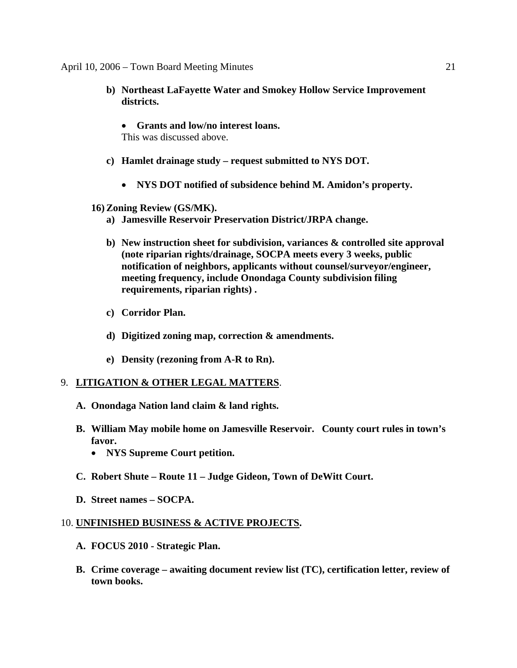- **b) Northeast LaFayette Water and Smokey Hollow Service Improvement districts.** 
	- **Grants and low/no interest loans.**  This was discussed above.
- **c) Hamlet drainage study request submitted to NYS DOT.** 
	- **NYS DOT notified of subsidence behind M. Amidon's property.**
- **16) Zoning Review (GS/MK).** 
	- **a) Jamesville Reservoir Preservation District/JRPA change.**
	- **b) New instruction sheet for subdivision, variances & controlled site approval (note riparian rights/drainage, SOCPA meets every 3 weeks, public notification of neighbors, applicants without counsel/surveyor/engineer, meeting frequency, include Onondaga County subdivision filing requirements, riparian rights) .**
	- **c) Corridor Plan.**
	- **d) Digitized zoning map, correction & amendments.**
	- **e) Density (rezoning from A-R to Rn).**

### 9. **LITIGATION & OTHER LEGAL MATTERS**.

- **A. Onondaga Nation land claim & land rights.**
- **B. William May mobile home on Jamesville Reservoir. County court rules in town's favor.** 
	- **NYS Supreme Court petition.**
- **C. Robert Shute Route 11 Judge Gideon, Town of DeWitt Court.**
- **D. Street names SOCPA.**

### 10. **UNFINISHED BUSINESS & ACTIVE PROJECTS.**

- **A. FOCUS 2010 Strategic Plan.**
- **B. Crime coverage awaiting document review list (TC), certification letter, review of town books.**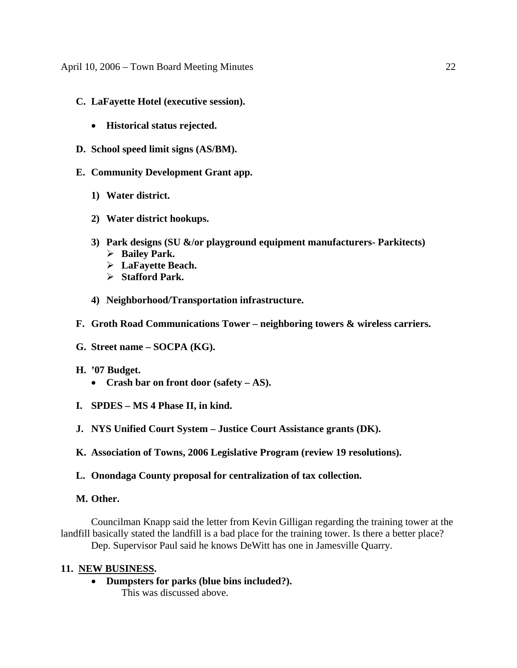- **C. LaFayette Hotel (executive session).** 
	- **Historical status rejected.**
- **D. School speed limit signs (AS/BM).**
- **E. Community Development Grant app.** 
	- **1) Water district.**
	- **2) Water district hookups.**
	- **3) Park designs (SU &/or playground equipment manufacturers- Parkitects)** 
		- ¾ **Bailey Park.**
		- ¾ **LaFayette Beach.**
		- ¾ **Stafford Park.**
	- **4) Neighborhood/Transportation infrastructure.**
- **F. Groth Road Communications Tower neighboring towers & wireless carriers.**
- **G. Street name SOCPA (KG).**
- **H. '07 Budget.** 
	- **Crash bar on front door (safety AS).**
- **I. SPDES MS 4 Phase II, in kind.**
- **J. NYS Unified Court System Justice Court Assistance grants (DK).**
- **K. Association of Towns, 2006 Legislative Program (review 19 resolutions).**
- **L. Onondaga County proposal for centralization of tax collection.**

### **M. Other.**

Councilman Knapp said the letter from Kevin Gilligan regarding the training tower at the landfill basically stated the landfill is a bad place for the training tower. Is there a better place? Dep. Supervisor Paul said he knows DeWitt has one in Jamesville Quarry.

# **11. NEW BUSINESS.**

• **Dumpsters for parks (blue bins included?).** 

This was discussed above.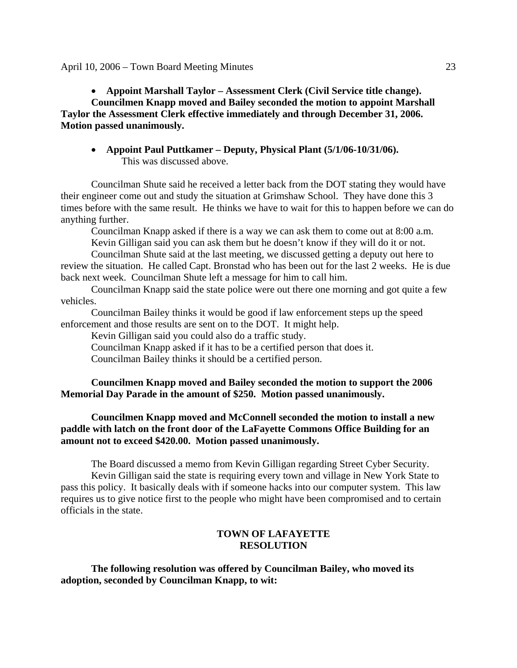• **Appoint Marshall Taylor – Assessment Clerk (Civil Service title change).** 

**Councilmen Knapp moved and Bailey seconded the motion to appoint Marshall Taylor the Assessment Clerk effective immediately and through December 31, 2006. Motion passed unanimously.** 

• **Appoint Paul Puttkamer – Deputy, Physical Plant (5/1/06-10/31/06).**  This was discussed above.

Councilman Shute said he received a letter back from the DOT stating they would have their engineer come out and study the situation at Grimshaw School. They have done this 3 times before with the same result. He thinks we have to wait for this to happen before we can do anything further.

Councilman Knapp asked if there is a way we can ask them to come out at 8:00 a.m. Kevin Gilligan said you can ask them but he doesn't know if they will do it or not.

Councilman Shute said at the last meeting, we discussed getting a deputy out here to review the situation. He called Capt. Bronstad who has been out for the last 2 weeks. He is due back next week. Councilman Shute left a message for him to call him.

Councilman Knapp said the state police were out there one morning and got quite a few vehicles.

Councilman Bailey thinks it would be good if law enforcement steps up the speed enforcement and those results are sent on to the DOT. It might help.

Kevin Gilligan said you could also do a traffic study.

Councilman Knapp asked if it has to be a certified person that does it.

Councilman Bailey thinks it should be a certified person.

**Councilmen Knapp moved and Bailey seconded the motion to support the 2006 Memorial Day Parade in the amount of \$250. Motion passed unanimously.** 

# **Councilmen Knapp moved and McConnell seconded the motion to install a new paddle with latch on the front door of the LaFayette Commons Office Building for an amount not to exceed \$420.00. Motion passed unanimously.**

The Board discussed a memo from Kevin Gilligan regarding Street Cyber Security. Kevin Gilligan said the state is requiring every town and village in New York State to pass this policy. It basically deals with if someone hacks into our computer system. This law requires us to give notice first to the people who might have been compromised and to certain officials in the state.

### **TOWN OF LAFAYETTE RESOLUTION**

**The following resolution was offered by Councilman Bailey, who moved its adoption, seconded by Councilman Knapp, to wit:**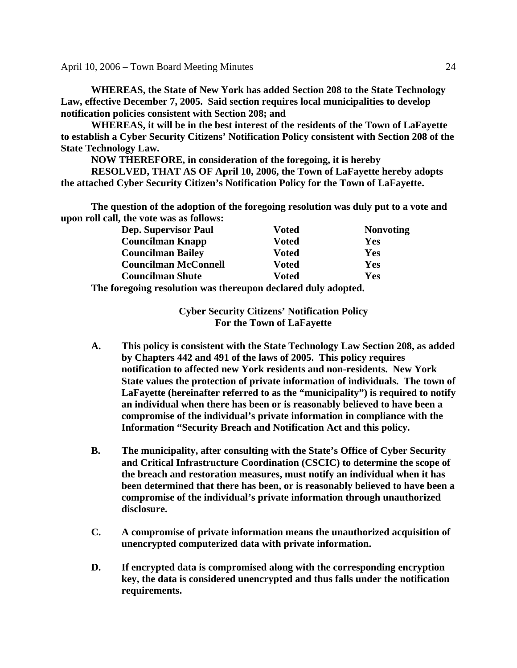**WHEREAS, the State of New York has added Section 208 to the State Technology Law, effective December 7, 2005. Said section requires local municipalities to develop notification policies consistent with Section 208; and** 

**WHEREAS, it will be in the best interest of the residents of the Town of LaFayette to establish a Cyber Security Citizens' Notification Policy consistent with Section 208 of the State Technology Law.** 

**NOW THEREFORE, in consideration of the foregoing, it is hereby RESOLVED, THAT AS OF April 10, 2006, the Town of LaFayette hereby adopts the attached Cyber Security Citizen's Notification Policy for the Town of LaFayette.** 

**The question of the adoption of the foregoing resolution was duly put to a vote and upon roll call, the vote was as follows:** 

|     | <b>Dep. Supervisor Paul</b> | Voted | <b>Nonvoting</b> |
|-----|-----------------------------|-------|------------------|
|     | <b>Councilman Knapp</b>     | Voted | Yes              |
|     | <b>Councilman Bailey</b>    | Voted | Yes              |
|     | <b>Councilman McConnell</b> | Voted | Yes              |
|     | <b>Councilman Shute</b>     | Voted | Yes              |
| --- |                             |       |                  |

**The foregoing resolution was thereupon declared duly adopted.** 

**Cyber Security Citizens' Notification Policy For the Town of LaFayette** 

- **A. This policy is consistent with the State Technology Law Section 208, as added by Chapters 442 and 491 of the laws of 2005. This policy requires notification to affected new York residents and non-residents. New York State values the protection of private information of individuals. The town of LaFayette (hereinafter referred to as the "municipality") is required to notify an individual when there has been or is reasonably believed to have been a compromise of the individual's private information in compliance with the Information "Security Breach and Notification Act and this policy.**
- **B. The municipality, after consulting with the State's Office of Cyber Security and Critical Infrastructure Coordination (CSCIC) to determine the scope of the breach and restoration measures, must notify an individual when it has been determined that there has been, or is reasonably believed to have been a compromise of the individual's private information through unauthorized disclosure.**
- **C. A compromise of private information means the unauthorized acquisition of unencrypted computerized data with private information.**
- **D. If encrypted data is compromised along with the corresponding encryption key, the data is considered unencrypted and thus falls under the notification requirements.**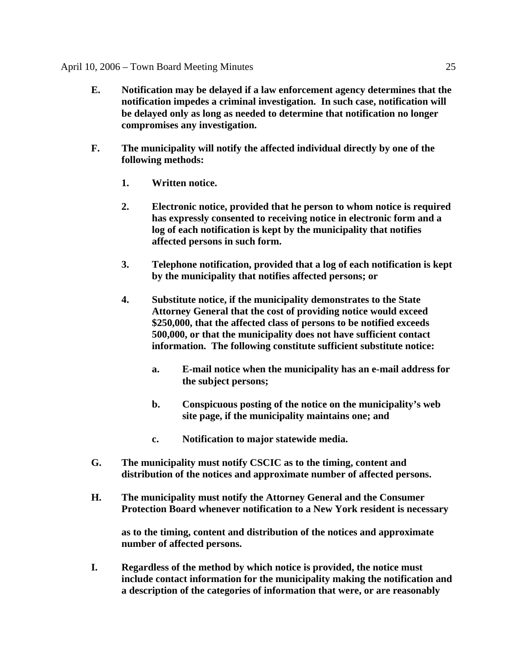- **E. Notification may be delayed if a law enforcement agency determines that the notification impedes a criminal investigation. In such case, notification will be delayed only as long as needed to determine that notification no longer compromises any investigation.**
- **F. The municipality will notify the affected individual directly by one of the following methods:** 
	- **1. Written notice.**
	- **2. Electronic notice, provided that he person to whom notice is required has expressly consented to receiving notice in electronic form and a log of each notification is kept by the municipality that notifies affected persons in such form.**
	- **3. Telephone notification, provided that a log of each notification is kept by the municipality that notifies affected persons; or**
	- **4. Substitute notice, if the municipality demonstrates to the State Attorney General that the cost of providing notice would exceed \$250,000, that the affected class of persons to be notified exceeds 500,000, or that the municipality does not have sufficient contact information. The following constitute sufficient substitute notice:** 
		- **a. E-mail notice when the municipality has an e-mail address for the subject persons;**
		- **b. Conspicuous posting of the notice on the municipality's web site page, if the municipality maintains one; and**
		- **c. Notification to major statewide media.**
- **G. The municipality must notify CSCIC as to the timing, content and distribution of the notices and approximate number of affected persons.**
- **H. The municipality must notify the Attorney General and the Consumer Protection Board whenever notification to a New York resident is necessary**

 **as to the timing, content and distribution of the notices and approximate number of affected persons.** 

 **I. Regardless of the method by which notice is provided, the notice must include contact information for the municipality making the notification and a description of the categories of information that were, or are reasonably**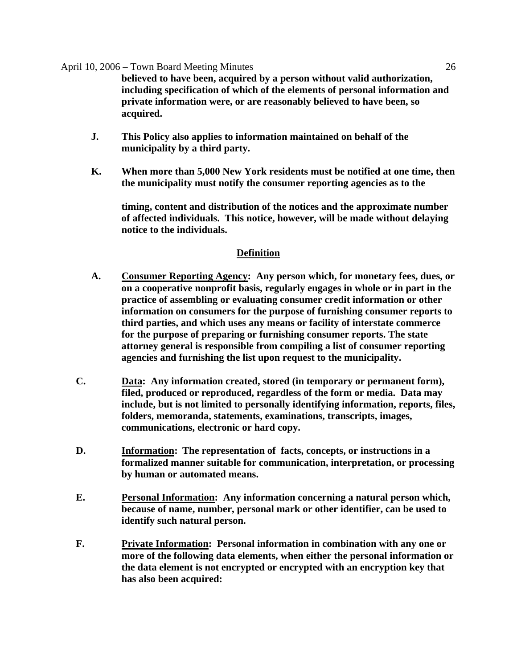**believed to have been, acquired by a person without valid authorization, including specification of which of the elements of personal information and private information were, or are reasonably believed to have been, so acquired.** 

- **J. This Policy also applies to information maintained on behalf of the municipality by a third party.**
- **K. When more than 5,000 New York residents must be notified at one time, then the municipality must notify the consumer reporting agencies as to the**

 **timing, content and distribution of the notices and the approximate number of affected individuals. This notice, however, will be made without delaying notice to the individuals.** 

# **Definition**

- **A. Consumer Reporting Agency: Any person which, for monetary fees, dues, or on a cooperative nonprofit basis, regularly engages in whole or in part in the practice of assembling or evaluating consumer credit information or other information on consumers for the purpose of furnishing consumer reports to third parties, and which uses any means or facility of interstate commerce for the purpose of preparing or furnishing consumer reports. The state attorney general is responsible from compiling a list of consumer reporting agencies and furnishing the list upon request to the municipality.**
- **C. Data: Any information created, stored (in temporary or permanent form), filed, produced or reproduced, regardless of the form or media. Data may include, but is not limited to personally identifying information, reports, files, folders, memoranda, statements, examinations, transcripts, images, communications, electronic or hard copy.**
- **D. Information: The representation of facts, concepts, or instructions in a formalized manner suitable for communication, interpretation, or processing by human or automated means.**
- **E. Personal Information: Any information concerning a natural person which, because of name, number, personal mark or other identifier, can be used to identify such natural person.**
- **F. Private Information: Personal information in combination with any one or more of the following data elements, when either the personal information or the data element is not encrypted or encrypted with an encryption key that has also been acquired:**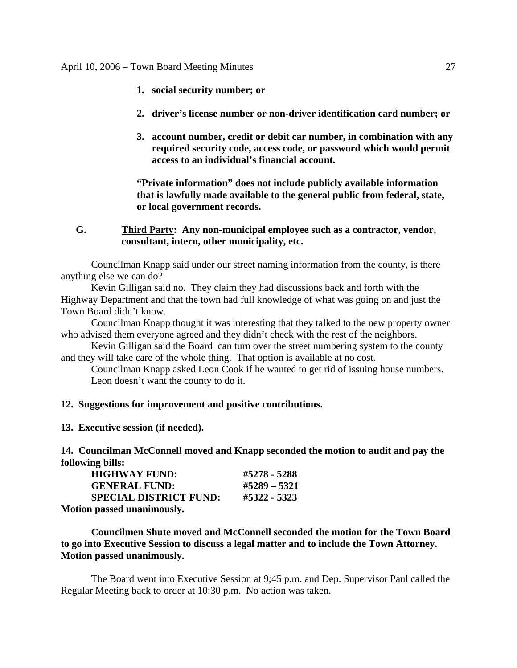- **1. social security number; or**
- **2. driver's license number or non-driver identification card number; or**
- **3. account number, credit or debit car number, in combination with any required security code, access code, or password which would permit access to an individual's financial account.**

**"Private information" does not include publicly available information that is lawfully made available to the general public from federal, state, or local government records.** 

**G. Third Party: Any non-municipal employee such as a contractor, vendor, consultant, intern, other municipality, etc.** 

 Councilman Knapp said under our street naming information from the county, is there anything else we can do?

 Kevin Gilligan said no. They claim they had discussions back and forth with the Highway Department and that the town had full knowledge of what was going on and just the Town Board didn't know.

 Councilman Knapp thought it was interesting that they talked to the new property owner who advised them everyone agreed and they didn't check with the rest of the neighbors.

 Kevin Gilligan said the Board can turn over the street numbering system to the county and they will take care of the whole thing. That option is available at no cost.

 Councilman Knapp asked Leon Cook if he wanted to get rid of issuing house numbers. Leon doesn't want the county to do it.

### **12. Suggestions for improvement and positive contributions.**

**13. Executive session (if needed).** 

**14. Councilman McConnell moved and Knapp seconded the motion to audit and pay the following bills:** 

| <b>HIGHWAY FUND:</b>          | #5278 - 5288 |
|-------------------------------|--------------|
| <b>GENERAL FUND:</b>          | #5289 - 5321 |
| <b>SPECIAL DISTRICT FUND:</b> | #5322 - 5323 |
| Matian ngccad unanimaucly     |              |

**Motion passed unanimously.** 

 **Councilmen Shute moved and McConnell seconded the motion for the Town Board to go into Executive Session to discuss a legal matter and to include the Town Attorney. Motion passed unanimously.** 

 The Board went into Executive Session at 9;45 p.m. and Dep. Supervisor Paul called the Regular Meeting back to order at 10:30 p.m. No action was taken.